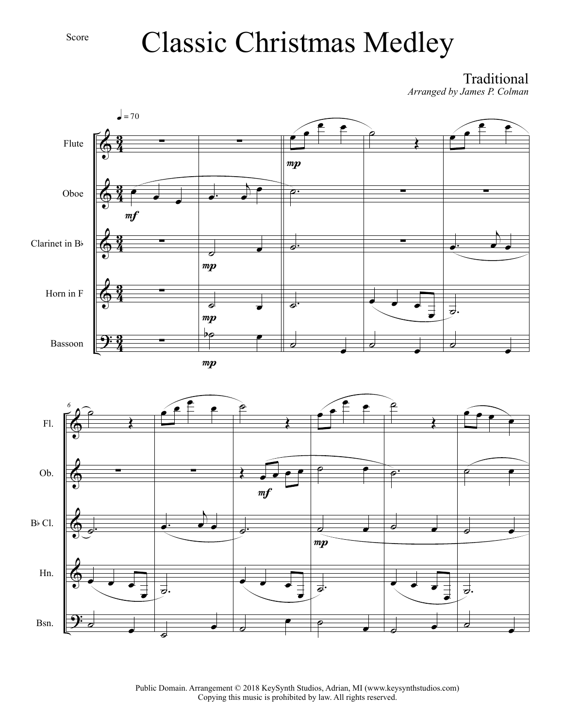## Classic Christmas Medley

*Arranged by James P. Colman* Traditional





Public Domain. Arrangement © 2018 KeySynth Studios, Adrian, MI (www.keysynthstudios.com) Copying this music is prohibited by law. All rights reserved.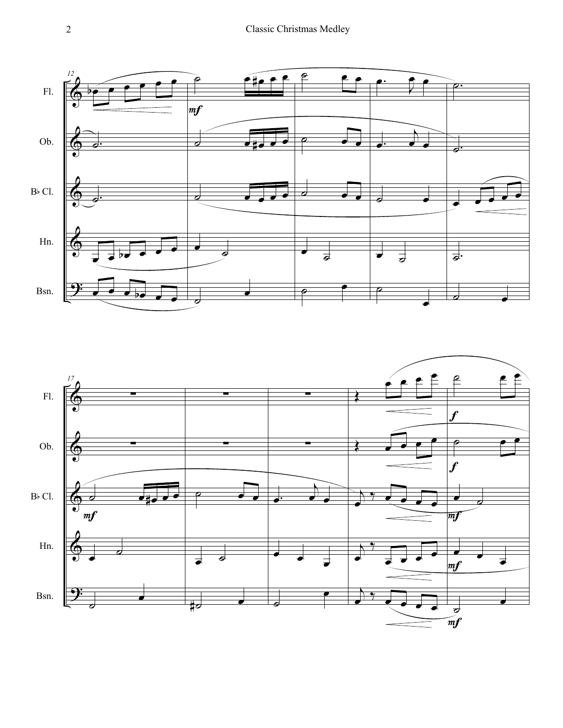